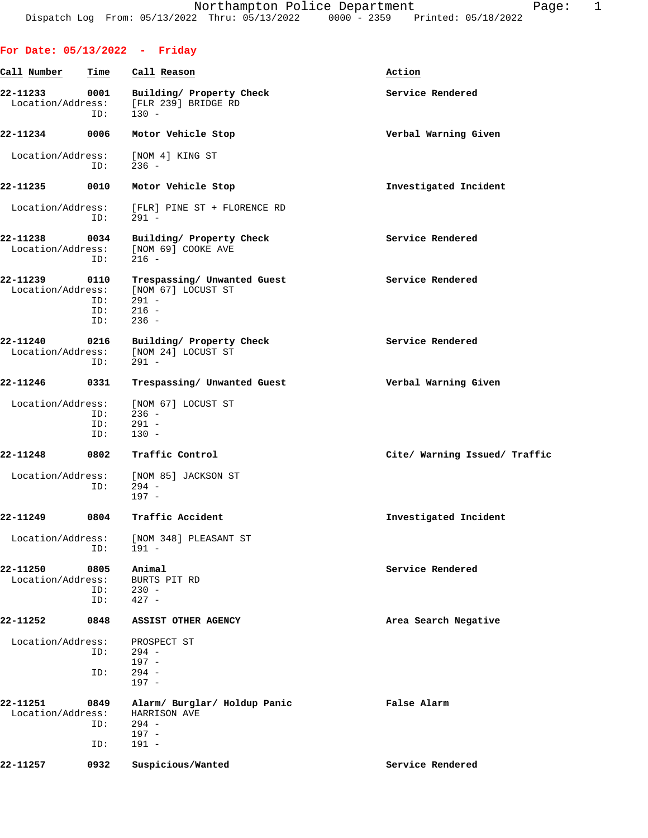|                               |                    | For Date: $05/13/2022 -$ Friday                                             |                               |
|-------------------------------|--------------------|-----------------------------------------------------------------------------|-------------------------------|
| Call Number                   | Time               | Call Reason                                                                 | Action                        |
| 22-11233<br>Location/Address: | 0001<br>ID:        | Building/ Property Check<br>[FLR 239] BRIDGE RD<br>$130 -$                  | Service Rendered              |
| 22-11234                      | 0006               | Motor Vehicle Stop                                                          | Verbal Warning Given          |
| Location/Address:             | ID:                | [NOM 4] KING ST<br>$236 -$                                                  |                               |
| 22-11235                      | 0010               | Motor Vehicle Stop                                                          | Investigated Incident         |
| Location/Address:             | ID:                | [FLR] PINE ST + FLORENCE RD<br>$291 -$                                      |                               |
| 22-11238<br>Location/Address: | ID:                | 0034 Building/ Property Check<br>[NOM 69] COOKE AVE<br>$216 -$              | Service Rendered              |
| 22-11239<br>Location/Address: | 0110<br>ID:        | Trespassing/ Unwanted Guest<br>[NOM 67] LOCUST ST<br>$291 -$                | Service Rendered              |
|                               | ID:<br>ID:         | $216 -$<br>$236 -$                                                          |                               |
| 22-11240<br>Location/Address: | 0216<br>ID:        | Building/ Property Check<br>[NOM 24] LOCUST ST<br>291 -                     | Service Rendered              |
| 22-11246                      | 0331               | Trespassing/ Unwanted Guest                                                 | Verbal Warning Given          |
| Location/Address:             | ID:<br>ID:<br>ID:  | [NOM 67] LOCUST ST<br>$236 -$<br>$291 -$<br>$130 -$                         |                               |
| 22-11248                      | 0802               | Traffic Control                                                             | Cite/ Warning Issued/ Traffic |
| Location/Address:             | ID:                | [NOM 85] JACKSON ST<br>294 -<br>$197 -$                                     |                               |
| 22-11249                      | 0804               | Traffic Accident                                                            | Investigated Incident         |
| Location/Address:             | ID:                | [NOM 348] PLEASANT ST<br>$191 -$                                            |                               |
| 22-11250<br>Location/Address: | 0805<br>ID:<br>ID: | Animal<br>BURTS PIT RD<br>$230 -$<br>$427 -$                                | Service Rendered              |
| 22-11252                      | 0848               | ASSIST OTHER AGENCY                                                         | Area Search Negative          |
| Location/Address:             | ID:<br>ID:         | PROSPECT ST<br>$294 -$<br>$197 -$<br>$294 -$<br>$197 -$                     |                               |
| 22-11251<br>Location/Address: | 0849<br>ID:<br>ID: | Alarm/ Burglar/ Holdup Panic<br>HARRISON AVE<br>294 -<br>$197 -$<br>$191 -$ | False Alarm                   |
| 22-11257                      | 0932               | Suspicious/Wanted                                                           | Service Rendered              |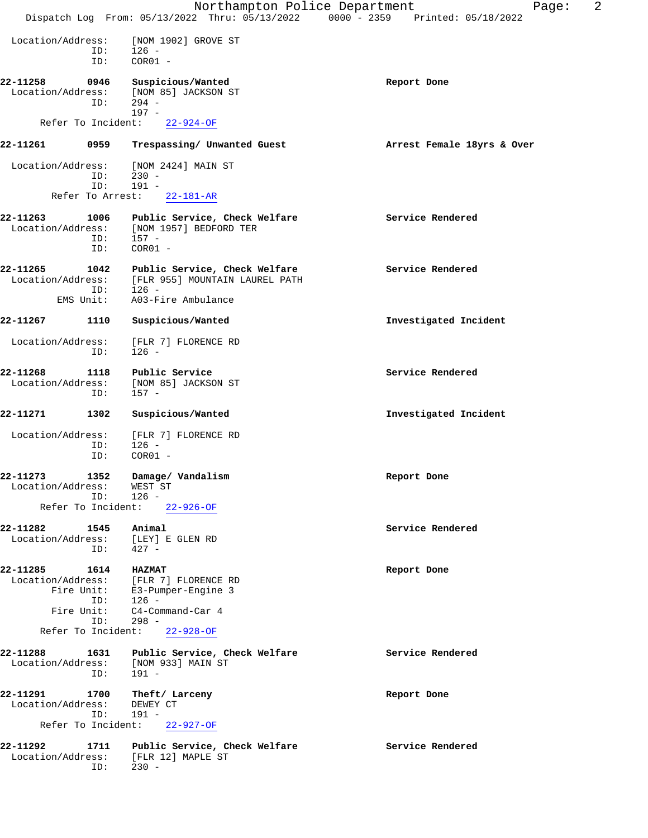|                               |                   | Northampton Police Department                                                  | 2<br>Page:                 |
|-------------------------------|-------------------|--------------------------------------------------------------------------------|----------------------------|
|                               |                   | Dispatch Log From: 05/13/2022 Thru: 05/13/2022 0000 - 2359 Printed: 05/18/2022 |                            |
| Location/Address:             |                   | [NOM 1902] GROVE ST                                                            |                            |
|                               | ID:<br>ID:        | $126 -$<br>$COR01 -$                                                           |                            |
| 22-11258                      | 0946              | Suspicious/Wanted                                                              | Report Done                |
| Location/Address:             | ID:               | [NOM 85] JACKSON ST<br>$294 -$                                                 |                            |
|                               |                   | $197 -$<br>Refer To Incident: 22-924-OF                                        |                            |
|                               |                   |                                                                                |                            |
| 22-11261                      | 0959              | Trespassing/ Unwanted Guest                                                    | Arrest Female 18yrs & Over |
| Location/Address:             | ID:               | [NOM 2424] MAIN ST<br>$230 -$                                                  |                            |
|                               | ID:               | $191 -$                                                                        |                            |
|                               | Refer To Arrest:  | $22 - 181 - AR$                                                                |                            |
| 22-11263<br>Location/Address: | 1006              | Public Service, Check Welfare<br>[NOM 1957] BEDFORD TER                        | Service Rendered           |
|                               | ID:<br>ID:        | $157 -$<br>$COR01 -$                                                           |                            |
| 22-11265                      |                   | 1042 Public Service, Check Welfare                                             | Service Rendered           |
| Location/Address:             | ID:               | [FLR 955] MOUNTAIN LAUREL PATH<br>$126 -$                                      |                            |
|                               | EMS Unit:         | A03-Fire Ambulance                                                             |                            |
| 22-11267                      | 1110              | Suspicious/Wanted                                                              | Investigated Incident      |
| Location/Address:             | ID:               | [FLR 7] FLORENCE RD<br>$126 -$                                                 |                            |
| 22-11268                      | 1118              | Public Service                                                                 | Service Rendered           |
| Location/Address:             | ID:               | [NOM 85] JACKSON ST<br>$157 -$                                                 |                            |
| 22-11271                      | 1302              | Suspicious/Wanted                                                              | Investigated Incident      |
| Location/Address:             | ID:               | [FLR 7] FLORENCE RD<br>$126 -$                                                 |                            |
|                               | ID:               | $COR01 -$                                                                      |                            |
| 22-11273                      |                   | 1352 Damage/ Vandalism                                                         | Report Done                |
| Location/Address:             | ID:               | WEST ST<br>$126 -$                                                             |                            |
|                               |                   | Refer To Incident: 22-926-OF                                                   |                            |
| 22-11282                      | 1545              | Animal                                                                         | Service Rendered           |
| Location/Address:             | ID:               | [LEY] E GLEN RD<br>427 -                                                       |                            |
| 22-11285                      |                   | 1614 HAZMAT                                                                    | Report Done                |
|                               |                   | Location/Address: [FLR 7] FLORENCE RD<br>Fire Unit: E3-Pumper-Engine 3         |                            |
|                               | ID:               | $126 -$                                                                        |                            |
|                               | Fire Unit:<br>ID: | C4-Command-Car 4<br>$298 -$                                                    |                            |
|                               |                   | Refer To Incident: 22-928-OF                                                   |                            |
| 22-11288<br>Location/Address: | 1631<br>ID:       | Public Service, Check Welfare<br>[NOM 933] MAIN ST<br>$191 -$                  | Service Rendered           |
| 22-11291                      | 1700              | Theft/ Larceny                                                                 | Report Done                |
| Location/Address:             | ID:               | DEWEY CT<br>191 -                                                              |                            |
|                               |                   | Refer To Incident: 22-927-OF                                                   |                            |
| 22-11292                      |                   | 1711 Public Service, Check Welfare                                             | Service Rendered           |
|                               | ID:               | Location/Address: [FLR 12] MAPLE ST<br>$230 -$                                 |                            |
|                               |                   |                                                                                |                            |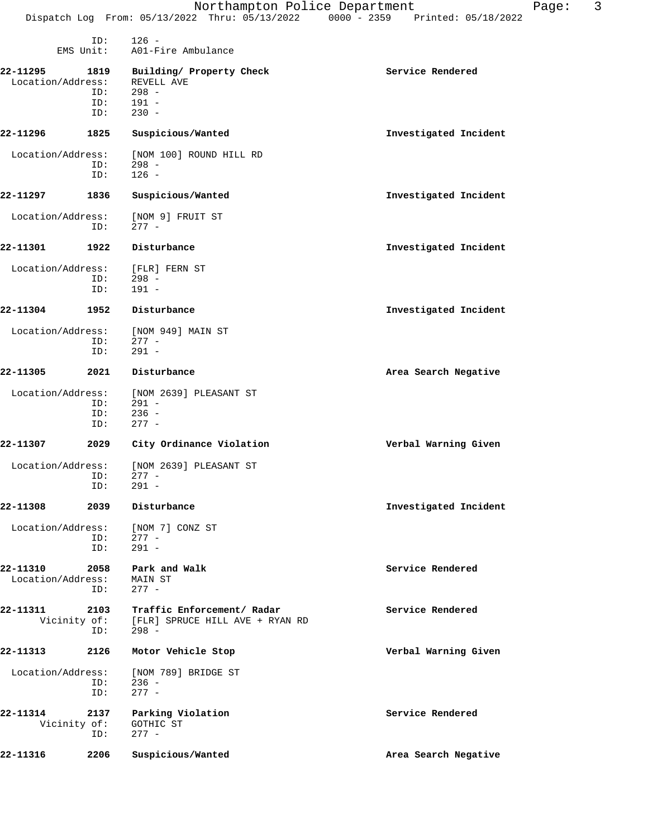|                          | ID:          | $126 -$                                  |                       |
|--------------------------|--------------|------------------------------------------|-----------------------|
|                          | EMS Unit:    | A01-Fire Ambulance                       |                       |
| 22-11295                 | 1819         | Building/ Property Check                 | Service Rendered      |
| Location/Address:        |              | REVELL AVE                               |                       |
|                          | ID:          | $298 -$                                  |                       |
|                          | ID:          | $191 -$                                  |                       |
|                          | ID:          | $230 -$                                  |                       |
| 22-11296                 | 1825         | Suspicious/Wanted                        | Investigated Incident |
| Location/Address:        | ID:          | [NOM 100] ROUND HILL RD<br>$298 -$       |                       |
|                          | ID:          | $126 -$                                  |                       |
| 22-11297                 | 1836         | Suspicious/Wanted                        | Investigated Incident |
| Location/Address:        | ID:          | [NOM 9] FRUIT ST<br>$277 -$              |                       |
| 22-11301                 | 1922         | Disturbance                              | Investigated Incident |
| Location/Address:        |              | [FLR] FERN ST                            |                       |
|                          | ID:          | $298 -$                                  |                       |
|                          | ID:          | $191 -$                                  |                       |
| 22-11304                 | 1952         | Disturbance                              | Investigated Incident |
| Location/Address:        |              | [NOM 949] MAIN ST                        |                       |
|                          | ID:          | $277 -$                                  |                       |
|                          | ID:          | $291 -$                                  |                       |
| 22-11305                 | 2021         | Disturbance                              | Area Search Negative  |
|                          |              | Location/Address: [NOM 2639] PLEASANT ST |                       |
|                          | ID:          | $291 -$                                  |                       |
|                          | ID:          | $236 -$                                  |                       |
|                          | ID:          | $277 -$                                  |                       |
| 22-11307                 | 2029         | City Ordinance Violation                 | Verbal Warning Given  |
| Location/Address:        |              | [NOM 2639] PLEASANT ST                   |                       |
|                          | ID:          | $277 -$                                  |                       |
|                          | ID:          | $291 -$                                  |                       |
| 22-11308                 | 2039         | Disturbance                              | Investigated Incident |
| Location/Address:        |              | [NOM 7] CONZ ST                          |                       |
|                          | ID:          | $277 -$                                  |                       |
|                          | ID:          | $291 -$                                  |                       |
| 22-11310                 | 2058         | Park and Walk                            | Service Rendered      |
| Location/Address:        |              | MAIN ST                                  |                       |
|                          | ID:          | $277 -$                                  |                       |
| 22-11311                 | 2103         | Traffic Enforcement/ Radar               | Service Rendered      |
|                          | Vicinity of: | [FLR] SPRUCE HILL AVE + RYAN RD          |                       |
|                          | ID:          | $298 -$                                  |                       |
| 22-11313                 | 2126         | Motor Vehicle Stop                       | Verbal Warning Given  |
| Location/Address:        |              | [NOM 789] BRIDGE ST                      |                       |
|                          | ID:          | $236 -$                                  |                       |
|                          | ID:          | $277 -$                                  |                       |
|                          |              |                                          |                       |
| 22-11314<br>Vicinity of: | 2137         | Parking Violation<br>GOTHIC ST           | Service Rendered      |
|                          | ID:          | $277 -$                                  |                       |
|                          |              |                                          |                       |
| 22-11316                 | 2206         | Suspicious/Wanted                        | Area Search Negative  |